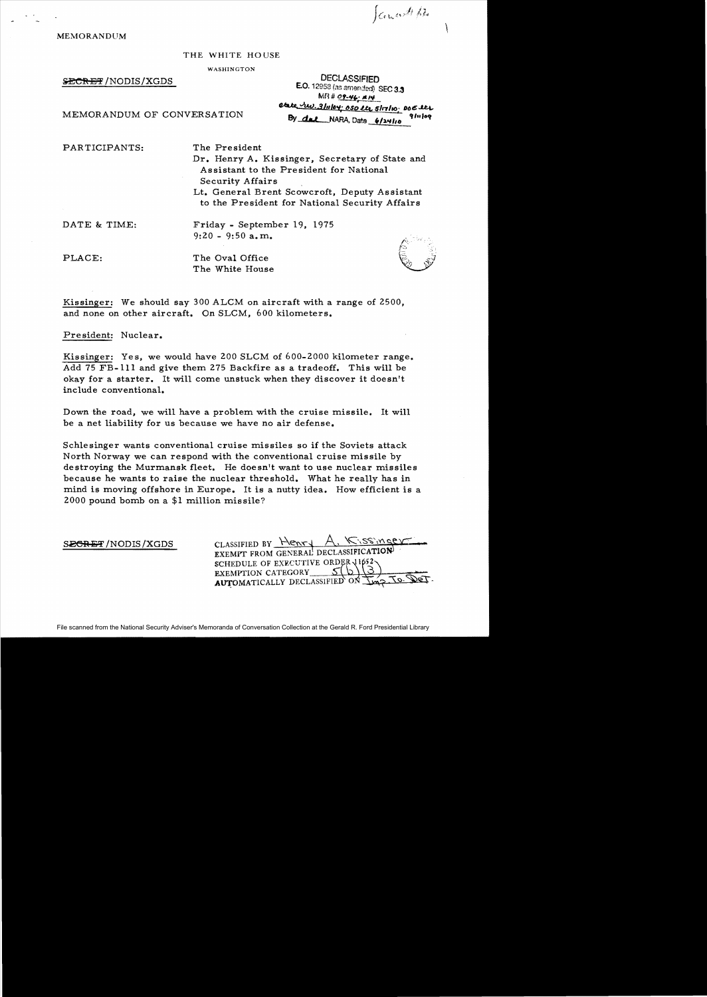Janced pr

MEMORANDUM

## THE WHITE HOUSE

WASHINGTON

SECRET/NODIS/XGDS

**DECLASSIFIED** E.O. 12958 (as amended) SEC 3.3 MR # 09-46; #14 etate rev. 3/11/04: 050 lts 5/17/10; DOE lts  $91$ 11 | 0 $9$ By dal NARA, Date 6/24/10

MEMORANDUM OF CONVERSATION

PARTICIPANTS: The President

Dr. Henry A. Kissinger, Secretary of State and Assistant to the President for National Security Affairs

Lt. General Brent Scowcroft, Deputy Assistant to the President for National Security Affairs

DATE & TIME: Friday - September 19, 1975  $9:20 - 9:50$  a.m.

PLACE: The Oval Office The White House



Kissinger: We should say 300 ALCM on aircraft with a range of 2500, and none on other aircraft. On SLCM, 600 kilometers.

President: Nuclear.

Kissinger: Yes, we would have 200 SLCM of 600-2000 kilometer range. Add 75 FB-lll and give them 275 Backfire as a tradeoff. This will be okay for a starter. It will come unstuck when they discover it doesn't include conventional.

Down the road, we will have a problem with the cruise missile. It will be a net liability for us because we have no air defense.

Schlesinger wants conventional cruise missiles so if the Soviets attack North Norway we can respond with the conventional cruise missile by destroying the Murmansk fleet. He doesn't want to use nuclear missiles because he wants to raise the nuclear threshold. What he really has in mind is moving offshore in Europe. It is a nutty idea. How efficient is a 2000 pound bomb on a \$1 million missile?

 $S.$ <u>EGRET/NODIS/XGDS</u> CLASSIFIED BY  $\frac{\text{H}_{\text{env}}}{\text{H}_{\text{env}}}$ , Kissingeven SCHEDULE OF EXECUTIVE ORDER  $\frac{11652}{\sqrt{3}}$ <br>EXEMPTION CATEGORY  $S(\text{b})\overline{\mathcal{A}}$ . To. DET.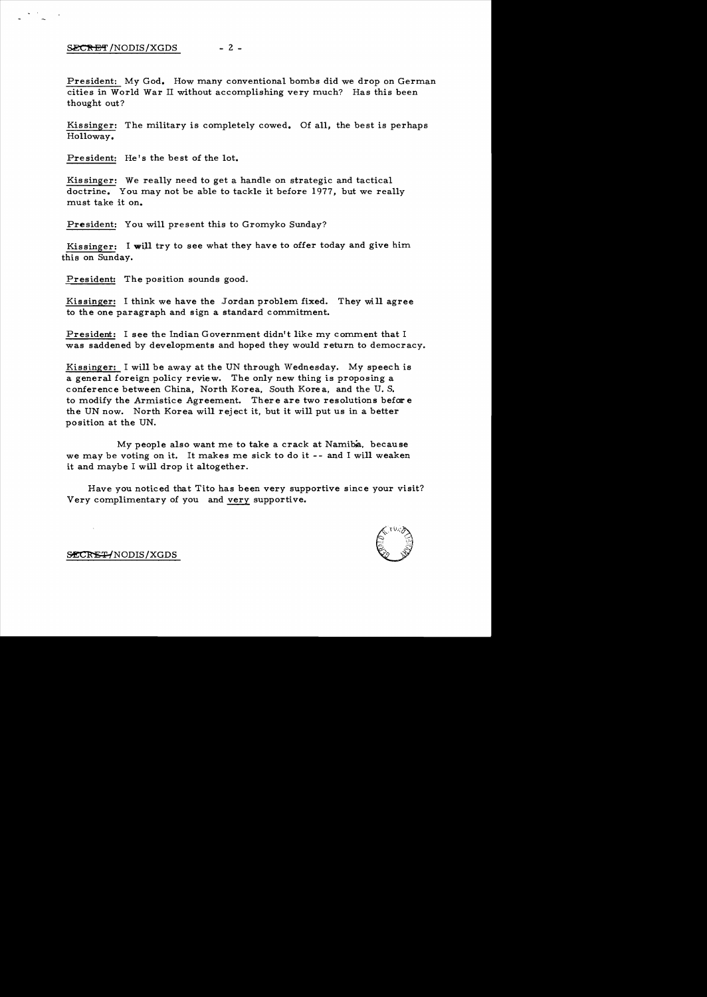$- 2 -$ SECRET/NODIS/XGDS

President: My God. How many conventional bombs did we drop on German cities in World War II without accomplishing very much? Has this been thought out?

Kissinger: The military is completely cowed. Of all, the best is perhaps Holloway.

President: He's the best of the lot.

Kis singer: We really need to get a handle on strategic and tactical doctrine. You may not be able to tackle it before 1977, but we really must take it on.

President: You will present this to Gromyko Sunday?

Kissinger: I **will** try to see what they have to offer today and give him this on Sunday.

President: The position sounds good.

Kissinger: I think we have the Jordan problem fixed. They will agree to the one paragraph and sign a standard commitment.

President: I see the Indian Government didn't like my comment that I was saddened by developments and hoped they would return to democracy.

Kissinger: I will be away at the UN through Wednesday. My speech is a general foreign policy review. The only new thing is proposing a conference between China, North Korea, South Korea, and the U. S. to modify the Armistice Agreement. There are two resolutions before the UN now. North Korea will rej ect it, but it will put us in a better position at the UN.

My people also want me to take a crack at Namiba, because we may be voting on it. It makes me sick to do it -- and I will weaken it and maybe I will drop it altogether.

Have you noticed that Tito has been very supportive since your visit? Very complimentary of you and very supportive.



SECRET/NODIS/XGDS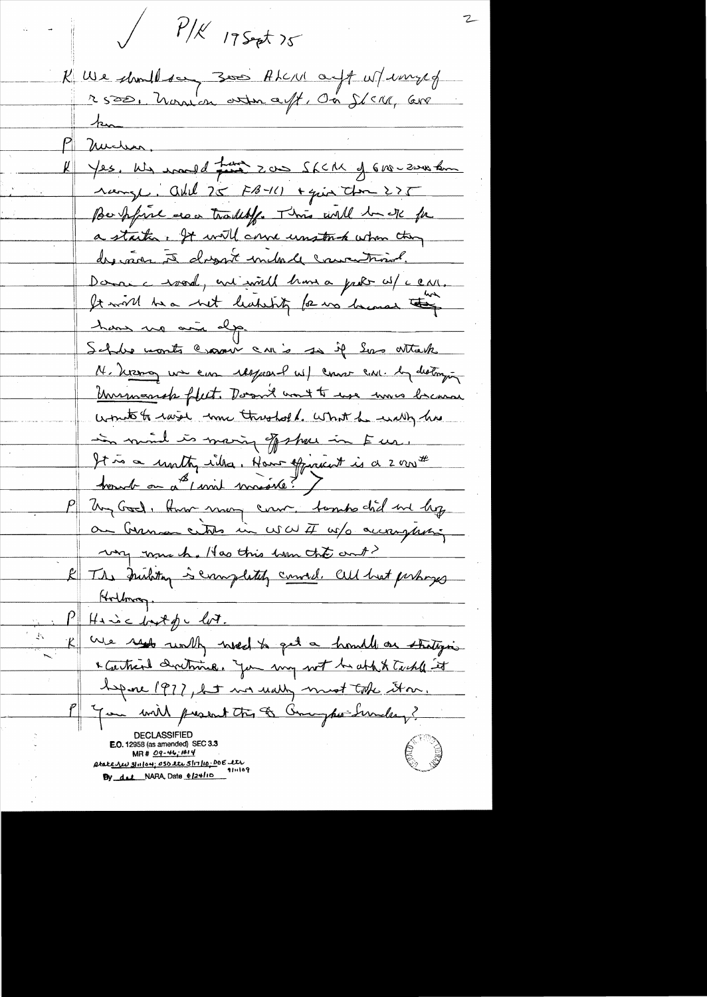$P/K$  17 Sept 75 K We should don 3000 ALC/U ouft w/ww.gef michen Yes. We would find zou Shell of 610-200 km range, add 25 FB-11) + quin them 275 Be point are tradity. This will be de for a startin. It will come unstruct when they desiner à dessit include couvertural. Donnie voord, ent with home a probe w/ c car. It will be a bet leaking for us lacosed the have no ain dep. Schler monts crosser cris so if Les attack M. Kizza un eine respond w/ come con. la distanziona <u>Unimarsh fleet. Doort wort to use mus branne</u> woute to raise more threshold. What he wally has in mind is maring of show in Eur. It is a unity inles, Have official is a 2 min # bound on a simil missile? Un God, Huw man com. Sombs chil me by an German centre in WWF w/o accompleting very rome h. Has this ham the out? & The Instition is completely connect. all heat perhaps Hollman.  $P$  Hamic but for lot. K We rept with wedth get a homely on strategies \* Cartier dretmine. You my not be able tackle it before 1977, but we usely must take them. If we will present the & Compter Sunday? **E.O.** 12958 (as amended) SEC 3.3  $MR# 09-46; #14$ atake <u>Nu 31 noti; oso et 51 no:</u> Do E et By del NARA, Date elztlin